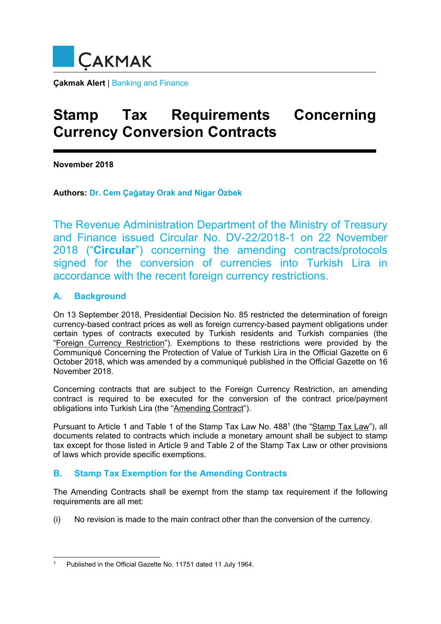

**Çakmak Alert** | Banking and Finance

# **Stamp Tax Requirements Concerning Currency Conversion Contracts**

**November 2018** 

**Authors: Dr. Cem Çağatay Orak and Nigar Özbek**

The Revenue Administration Department of the Ministry of Treasury and Finance issued Circular No. DV-22/2018-1 on 22 November 2018 ("**Circular**") concerning the amending contracts/protocols signed for the conversion of currencies into Turkish Lira in accordance with the recent foreign currency restrictions.

## **A. Background**

On 13 September 2018, Presidential Decision No. 85 restricted the determination of foreign currency-based contract prices as well as foreign currency-based payment obligations under certain types of contracts executed by Turkish residents and Turkish companies (the "Foreign Currency Restriction"). Exemptions to these restrictions were provided by the Communiqué Concerning the Protection of Value of Turkish Lira in the Official Gazette on 6 October 2018, which was amended by a communiqué published in the Official Gazette on 16 November 2018.

Concerning contracts that are subject to the Foreign Currency Restriction, an amending contract is required to be executed for the conversion of the contract price/payment obligations into Turkish Lira (the "Amending Contract").

Pursuant to Article 1 and Table 1 of the Stamp Tax Law No. 4881 (the "Stamp Tax Law"), all documents related to contracts which include a monetary amount shall be subject to stamp tax except for those listed in Article 9 and Table 2 of the Stamp Tax Law or other provisions of laws which provide specific exemptions.

# **B. Stamp Tax Exemption for the Amending Contracts**

The Amending Contracts shall be exempt from the stamp tax requirement if the following requirements are all met:

(i) No revision is made to the main contract other than the conversion of the currency.

<sup>1</sup> 1 Published in the Official Gazette No. 11751 dated 11 July 1964.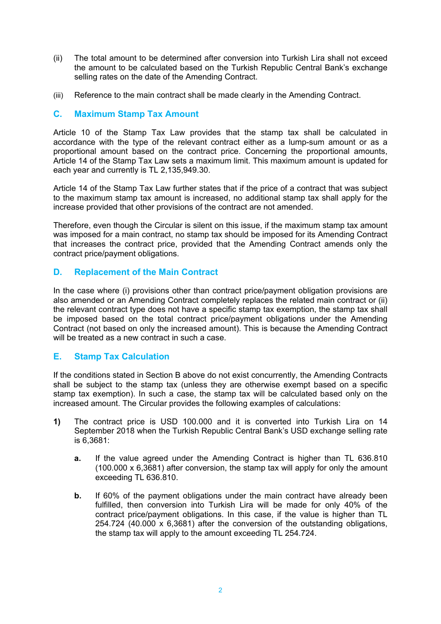- (ii) The total amount to be determined after conversion into Turkish Lira shall not exceed the amount to be calculated based on the Turkish Republic Central Bank's exchange selling rates on the date of the Amending Contract.
- (iii) Reference to the main contract shall be made clearly in the Amending Contract.

#### **C. Maximum Stamp Tax Amount**

Article 10 of the Stamp Tax Law provides that the stamp tax shall be calculated in accordance with the type of the relevant contract either as a lump-sum amount or as a proportional amount based on the contract price. Concerning the proportional amounts, Article 14 of the Stamp Tax Law sets a maximum limit. This maximum amount is updated for each year and currently is TL 2,135,949.30.

Article 14 of the Stamp Tax Law further states that if the price of a contract that was subject to the maximum stamp tax amount is increased, no additional stamp tax shall apply for the increase provided that other provisions of the contract are not amended.

Therefore, even though the Circular is silent on this issue, if the maximum stamp tax amount was imposed for a main contract, no stamp tax should be imposed for its Amending Contract that increases the contract price, provided that the Amending Contract amends only the contract price/payment obligations.

### **D. Replacement of the Main Contract**

In the case where (i) provisions other than contract price/payment obligation provisions are also amended or an Amending Contract completely replaces the related main contract or (ii) the relevant contract type does not have a specific stamp tax exemption, the stamp tax shall be imposed based on the total contract price/payment obligations under the Amending Contract (not based on only the increased amount). This is because the Amending Contract will be treated as a new contract in such a case.

### **E. Stamp Tax Calculation**

If the conditions stated in Section B above do not exist concurrently, the Amending Contracts shall be subject to the stamp tax (unless they are otherwise exempt based on a specific stamp tax exemption). In such a case, the stamp tax will be calculated based only on the increased amount. The Circular provides the following examples of calculations:

- **1)** The contract price is USD 100.000 and it is converted into Turkish Lira on 14 September 2018 when the Turkish Republic Central Bank's USD exchange selling rate is 6,3681:
	- **a.** If the value agreed under the Amending Contract is higher than TL 636.810 (100.000 x 6,3681) after conversion, the stamp tax will apply for only the amount exceeding TL 636.810.
	- **b.** If 60% of the payment obligations under the main contract have already been fulfilled, then conversion into Turkish Lira will be made for only 40% of the contract price/payment obligations. In this case, if the value is higher than TL 254.724 (40.000 x 6,3681) after the conversion of the outstanding obligations, the stamp tax will apply to the amount exceeding TL 254.724.